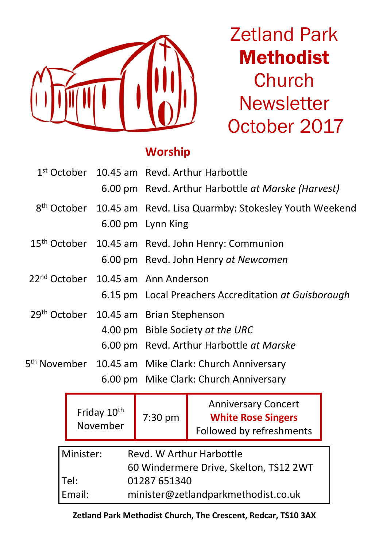

Zetland Park Methodist **Church Newsletter** October 2017

# **Worship**

|  | 1st October 10.45 am Revd. Arthur Harbottle<br>6.00 pm Revd. Arthur Harbottle at Marske (Harvest)                                  |
|--|------------------------------------------------------------------------------------------------------------------------------------|
|  | 8 <sup>th</sup> October 10.45 am Revd. Lisa Quarmby: Stokesley Youth Weekend<br>6.00 pm Lynn King                                  |
|  | 15 <sup>th</sup> October 10.45 am Revd. John Henry: Communion<br>6.00 pm Revd. John Henry at Newcomen                              |
|  | 22 <sup>nd</sup> October 10.45 am Ann Anderson<br>6.15 pm Local Preachers Accreditation at Guisborough                             |
|  | 29 <sup>th</sup> October 10.45 am Brian Stephenson<br>4.00 pm Bible Society at the URC<br>6.00 pm Revd. Arthur Harbottle at Marske |
|  | 5 <sup>th</sup> November 10.45 am Mike Clark: Church Anniversary<br>6.00 pm Mike Clark: Church Anniversary                         |

|        | Friday 10th<br>November | 7:30 pm                                | <b>Anniversary Concert</b><br><b>White Rose Singers</b><br>Followed by refreshments |  |  |
|--------|-------------------------|----------------------------------------|-------------------------------------------------------------------------------------|--|--|
|        | Minister:               |                                        | Revd. W Arthur Harbottle                                                            |  |  |
|        |                         | 60 Windermere Drive, Skelton, TS12 2WT |                                                                                     |  |  |
| Tel:   |                         | 01287 651340                           |                                                                                     |  |  |
| Email: |                         | minister@zetlandparkmethodist.co.uk    |                                                                                     |  |  |

**Zetland Park Methodist Church, The Crescent, Redcar, TS10 3AX**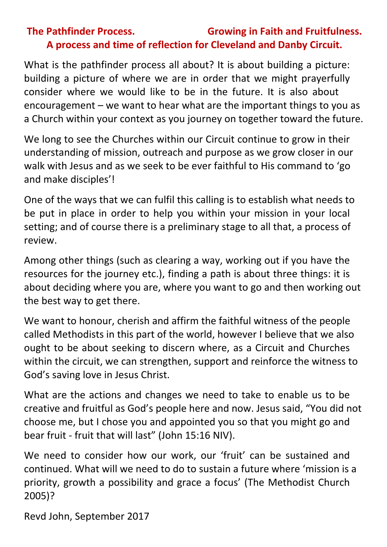### **The Pathfinder Process. Growing in Faith and Fruitfulness. A process and time of reflection for Cleveland and Danby Circuit.**

What is the pathfinder process all about? It is about building a picture: building a picture of where we are in order that we might prayerfully consider where we would like to be in the future. It is also about encouragement – we want to hear what are the important things to you as a Church within your context as you journey on together toward the future.

We long to see the Churches within our Circuit continue to grow in their understanding of mission, outreach and purpose as we grow closer in our walk with Jesus and as we seek to be ever faithful to His command to 'go and make disciples'!

One of the ways that we can fulfil this calling is to establish what needs to be put in place in order to help you within your mission in your local setting; and of course there is a preliminary stage to all that, a process of review.

Among other things (such as clearing a way, working out if you have the resources for the journey etc.), finding a path is about three things: it is about deciding where you are, where you want to go and then working out the best way to get there.

We want to honour, cherish and affirm the faithful witness of the people called Methodists in this part of the world, however I believe that we also ought to be about seeking to discern where, as a Circuit and Churches within the circuit, we can strengthen, support and reinforce the witness to God's saving love in Jesus Christ.

What are the actions and changes we need to take to enable us to be creative and fruitful as God's people here and now. Jesus said, "You did not choose me, but I chose you and appointed you so that you might go and bear fruit - fruit that will last" (John 15:16 NIV).

We need to consider how our work, our 'fruit' can be sustained and continued. What will we need to do to sustain a future where 'mission is a priority, growth a possibility and grace a focus' (The Methodist Church 2005)?

Revd John, September 2017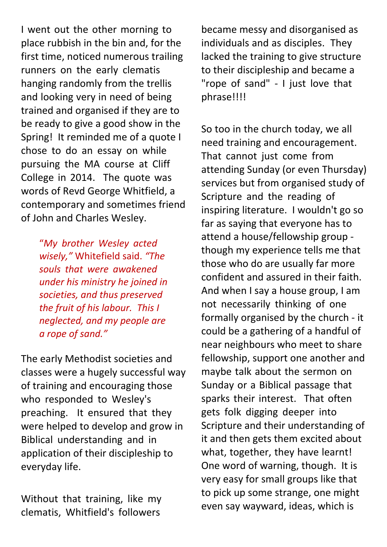I went out the other morning to place rubbish in the bin and, for the first time, noticed numerous trailing runners on the early clematis hanging randomly from the trellis and looking very in need of being trained and organised if they are to be ready to give a good show in the Spring! It reminded me of a quote I chose to do an essay on while pursuing the MA course at Cliff College in 2014. The quote was words of Revd George Whitfield, a contemporary and sometimes friend of John and Charles Wesley.

> "*My brother Wesley acted wisely,"* Whitefield said. *"The souls that were awakened under his ministry he joined in societies, and thus preserved the fruit of his labour. This I neglected, and my people are a rope of sand."*

The early Methodist societies and classes were a hugely successful way of training and encouraging those who responded to Wesley's preaching. It ensured that they were helped to develop and grow in Biblical understanding and in application of their discipleship to everyday life.

Without that training, like my clematis, Whitfield's followers

became messy and disorganised as individuals and as disciples. They lacked the training to give structure to their discipleship and became a "rope of sand" - I just love that phrase!!!!

So too in the church today, we all need training and encouragement. That cannot just come from attending Sunday (or even Thursday) services but from organised study of Scripture and the reading of inspiring literature. I wouldn't go so far as saying that everyone has to attend a house/fellowship group though my experience tells me that those who do are usually far more confident and assured in their faith. And when I say a house group, I am not necessarily thinking of one formally organised by the church - it could be a gathering of a handful of near neighbours who meet to share fellowship, support one another and maybe talk about the sermon on Sunday or a Biblical passage that sparks their interest. That often gets folk digging deeper into Scripture and their understanding of it and then gets them excited about what, together, they have learnt! One word of warning, though. It is very easy for small groups like that to pick up some strange, one might even say wayward, ideas, which is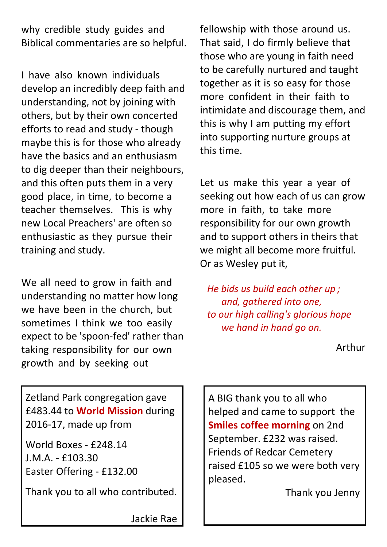why credible study guides and Biblical commentaries are so helpful.

I have also known individuals develop an incredibly deep faith and understanding, not by joining with others, but by their own concerted efforts to read and study - though maybe this is for those who already have the basics and an enthusiasm to dig deeper than their neighbours, and this often puts them in a very good place, in time, to become a teacher themselves. This is why new Local Preachers' are often so enthusiastic as they pursue their training and study.

We all need to grow in faith and understanding no matter how long we have been in the church, but sometimes I think we too easily expect to be 'spoon-fed' rather than taking responsibility for our own growth and by seeking out

fellowship with those around us. That said, I do firmly believe that those who are young in faith need to be carefully nurtured and taught together as it is so easy for those more confident in their faith to intimidate and discourage them, and this is why I am putting my effort into supporting nurture groups at this time.

Let us make this year a year of seeking out how each of us can grow more in faith, to take more responsibility for our own growth and to support others in theirs that we might all become more fruitful. Or as Wesley put it,

*He bids us build each other up ; and, gathered into one, to our high calling's glorious hope we hand in hand go on.*

Arthur

Zetland Park congregation gave £483.44 to **World Mission** during 2016-17, made up from

World Boxes - £248.14 J.M.A. - £103.30 Easter Offering - £132.00

Thank you to all who contributed.

A BIG thank you to all who helped and came to support the **Smiles coffee morning** on 2nd September. £232 was raised. Friends of Redcar Cemetery raised £105 so we were both very pleased.

Thank you Jenny

Jackie Rae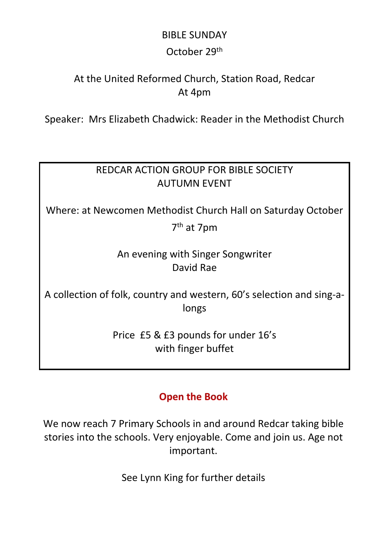## BIBLE SUNDAY October 29th

### At the United Reformed Church, Station Road, Redcar At 4pm

Speaker: Mrs Elizabeth Chadwick: Reader in the Methodist Church

### REDCAR ACTION GROUP FOR BIBLE SOCIETY AUTUMN EVENT

Where: at Newcomen Methodist Church Hall on Saturday October

7 th at 7pm

An evening with Singer Songwriter David Rae

A collection of folk, country and western, 60's selection and sing-alongs

> Price £5 & £3 pounds for under 16's with finger buffet

### **Open the Book**

We now reach 7 Primary Schools in and around Redcar taking bible stories into the schools. Very enjoyable. Come and join us. Age not important.

See Lynn King for further details